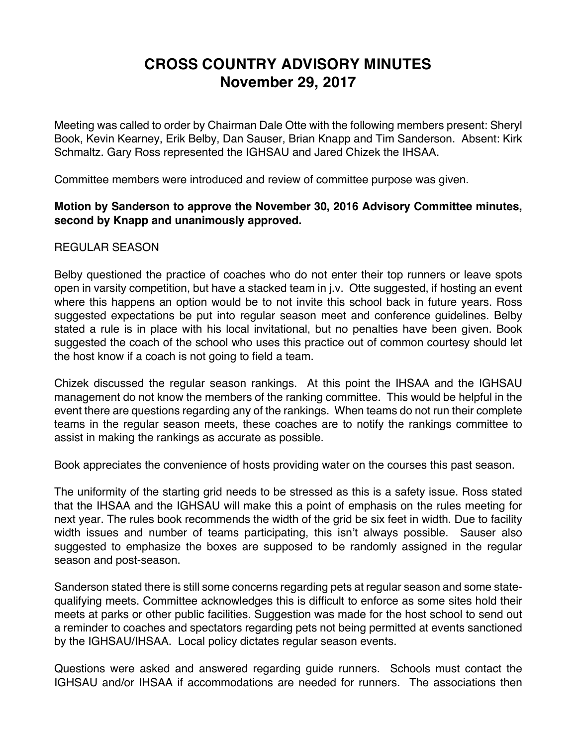## **CROSS COUNTRY ADVISORY MINUTES November 29, 2017**

Meeting was called to order by Chairman Dale Otte with the following members present: Sheryl Book, Kevin Kearney, Erik Belby, Dan Sauser, Brian Knapp and Tim Sanderson. Absent: Kirk Schmaltz. Gary Ross represented the IGHSAU and Jared Chizek the IHSAA.

Committee members were introduced and review of committee purpose was given.

## **Motion by Sanderson to approve the November 30, 2016 Advisory Committee minutes, second by Knapp and unanimously approved.**

## REGULAR SEASON

Belby questioned the practice of coaches who do not enter their top runners or leave spots open in varsity competition, but have a stacked team in j.v. Otte suggested, if hosting an event where this happens an option would be to not invite this school back in future years. Ross suggested expectations be put into regular season meet and conference guidelines. Belby stated a rule is in place with his local invitational, but no penalties have been given. Book suggested the coach of the school who uses this practice out of common courtesy should let the host know if a coach is not going to field a team.

Chizek discussed the regular season rankings. At this point the IHSAA and the IGHSAU management do not know the members of the ranking committee. This would be helpful in the event there are questions regarding any of the rankings. When teams do not run their complete teams in the regular season meets, these coaches are to notify the rankings committee to assist in making the rankings as accurate as possible.

Book appreciates the convenience of hosts providing water on the courses this past season.

The uniformity of the starting grid needs to be stressed as this is a safety issue. Ross stated that the IHSAA and the IGHSAU will make this a point of emphasis on the rules meeting for next year. The rules book recommends the width of the grid be six feet in width. Due to facility width issues and number of teams participating, this isn't always possible. Sauser also suggested to emphasize the boxes are supposed to be randomly assigned in the regular season and post-season.

Sanderson stated there is still some concerns regarding pets at regular season and some statequalifying meets. Committee acknowledges this is difficult to enforce as some sites hold their meets at parks or other public facilities. Suggestion was made for the host school to send out a reminder to coaches and spectators regarding pets not being permitted at events sanctioned by the IGHSAU/IHSAA. Local policy dictates regular season events.

Questions were asked and answered regarding guide runners. Schools must contact the IGHSAU and/or IHSAA if accommodations are needed for runners. The associations then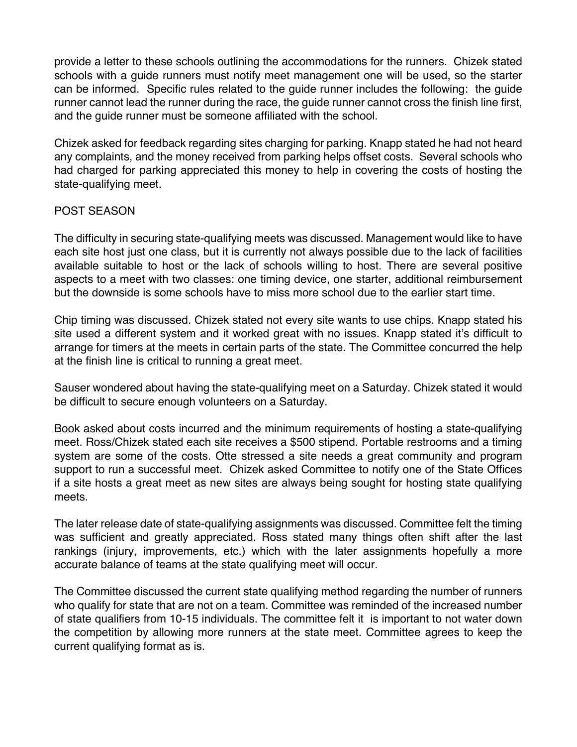provide a letter to these schools outlining the accommodations for the runners. Chizek stated schools with a guide runners must notify meet management one will be used, so the starter can be informed. Specific rules related to the guide runner includes the following: the guide runner cannot lead the runner during the race, the guide runner cannot cross the finish line first, and the guide runner must be someone affiliated with the school.

Chizek asked for feedback regarding sites charging for parking. Knapp stated he had not heard any complaints, and the money received from parking helps offset costs. Several schools who had charged for parking appreciated this money to help in covering the costs of hosting the state-qualifying meet.

## POST SEASON

The difficulty in securing state-qualifying meets was discussed. Management would like to have each site host just one class, but it is currently not always possible due to the lack of facilities available suitable to host or the lack of schools willing to host. There are several positive aspects to a meet with two classes: one timing device, one starter, additional reimbursement but the downside is some schools have to miss more school due to the earlier start time.

Chip timing was discussed. Chizek stated not every site wants to use chips. Knapp stated his site used a different system and it worked great with no issues. Knapp stated it's difficult to arrange for timers at the meets in certain parts of the state. The Committee concurred the help at the finish line is critical to running a great meet.

Sauser wondered about having the state-qualifying meet on a Saturday. Chizek stated it would be difficult to secure enough volunteers on a Saturday.

Book asked about costs incurred and the minimum requirements of hosting a state-qualifying meet. Ross/Chizek stated each site receives a \$500 stipend. Portable restrooms and a timing system are some of the costs. Otte stressed a site needs a great community and program support to run a successful meet. Chizek asked Committee to notify one of the State Offices if a site hosts a great meet as new sites are always being sought for hosting state qualifying meets.

The later release date of state-qualifying assignments was discussed. Committee felt the timing was sufficient and greatly appreciated. Ross stated many things often shift after the last rankings (injury, improvements, etc.) which with the later assignments hopefully a more accurate balance of teams at the state qualifying meet will occur.

The Committee discussed the current state qualifying method regarding the number of runners who qualify for state that are not on a team. Committee was reminded of the increased number of state qualifiers from 10-15 individuals. The committee felt it is important to not water down the competition by allowing more runners at the state meet. Committee agrees to keep the current qualifying format as is.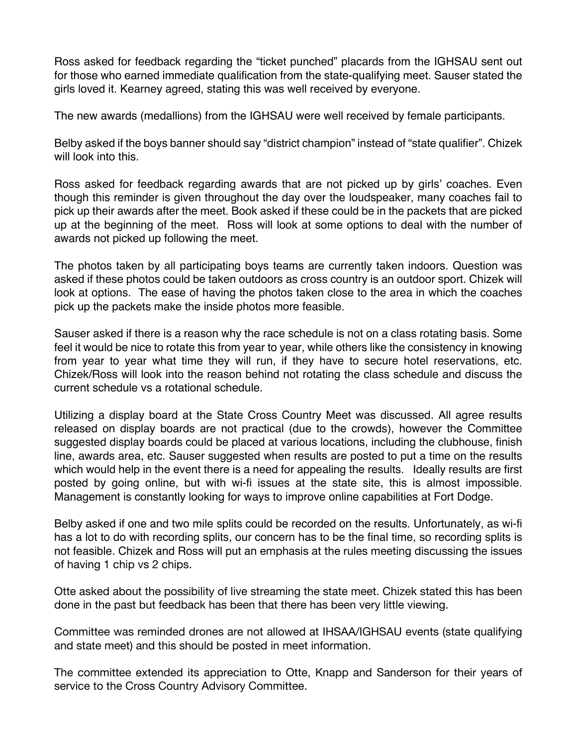Ross asked for feedback regarding the "ticket punched" placards from the IGHSAU sent out for those who earned immediate qualification from the state-qualifying meet. Sauser stated the girls loved it. Kearney agreed, stating this was well received by everyone.

The new awards (medallions) from the IGHSAU were well received by female participants.

Belby asked if the boys banner should say "district champion" instead of "state qualifier". Chizek will look into this.

Ross asked for feedback regarding awards that are not picked up by girls' coaches. Even though this reminder is given throughout the day over the loudspeaker, many coaches fail to pick up their awards after the meet. Book asked if these could be in the packets that are picked up at the beginning of the meet. Ross will look at some options to deal with the number of awards not picked up following the meet.

The photos taken by all participating boys teams are currently taken indoors. Question was asked if these photos could be taken outdoors as cross country is an outdoor sport. Chizek will look at options. The ease of having the photos taken close to the area in which the coaches pick up the packets make the inside photos more feasible.

Sauser asked if there is a reason why the race schedule is not on a class rotating basis. Some feel it would be nice to rotate this from year to year, while others like the consistency in knowing from year to year what time they will run, if they have to secure hotel reservations, etc. Chizek/Ross will look into the reason behind not rotating the class schedule and discuss the current schedule vs a rotational schedule.

Utilizing a display board at the State Cross Country Meet was discussed. All agree results released on display boards are not practical (due to the crowds), however the Committee suggested display boards could be placed at various locations, including the clubhouse, finish line, awards area, etc. Sauser suggested when results are posted to put a time on the results which would help in the event there is a need for appealing the results. Ideally results are first posted by going online, but with wi-fi issues at the state site, this is almost impossible. Management is constantly looking for ways to improve online capabilities at Fort Dodge.

Belby asked if one and two mile splits could be recorded on the results. Unfortunately, as wi-fi has a lot to do with recording splits, our concern has to be the final time, so recording splits is not feasible. Chizek and Ross will put an emphasis at the rules meeting discussing the issues of having 1 chip vs 2 chips.

Otte asked about the possibility of live streaming the state meet. Chizek stated this has been done in the past but feedback has been that there has been very little viewing.

Committee was reminded drones are not allowed at IHSAA/IGHSAU events (state qualifying and state meet) and this should be posted in meet information.

The committee extended its appreciation to Otte, Knapp and Sanderson for their years of service to the Cross Country Advisory Committee.